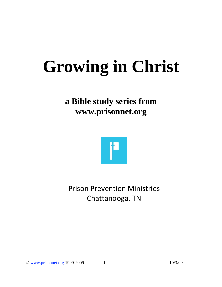# **Growing in Christ**

# **a Bible study series from www.prisonnet.org**



Prison Prevention Ministries Chattanooga, TN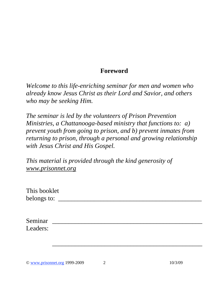# **Foreword**

*Welcome to this life-enriching seminar for men and women who already know Jesus Christ as their Lord and Savior, and others who may be seeking Him.*

*The seminar is led by the volunteers of Prison Prevention Ministries, a Chattanooga-based ministry that functions to: a) prevent youth from going to prison, and b) prevent inmates from returning to prison, through a personal and growing relationship with Jesus Christ and His Gospel.*

*This material is provided through the kind generosity of www.prisonnet.org*

| This booklet |  |  |  |
|--------------|--|--|--|
| belongs to:  |  |  |  |

| Seminar  |  |
|----------|--|
| Leaders: |  |

\_\_\_\_\_\_\_\_\_\_\_\_\_\_\_\_\_\_\_\_\_\_\_\_\_\_\_\_\_\_\_\_\_\_\_\_\_\_\_\_\_\_\_\_\_\_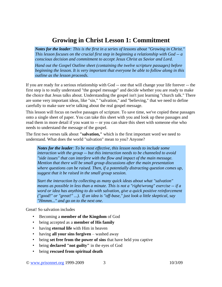# **Growing in Christ Lesson 1: Commitment**

*Notes for the leader: This is the first in a series of lessons about "Growing in Christ." This lesson focuses on the crucial first step in beginning a relationship with God -- a conscious decision and commitment to accept Jesus Christ as Savior and Lord.* 

*Hand out the Gospel Outline sheet (containing the twelve scripture passages) before beginning the lesson. It is very important that everyone be able to follow along in this outline as the lesson proceeds.*

If you are ready for a serious relationship with God -- one that will change your life forever -- the first step is to really understand "the gospel message" and decide whether you are ready to make the choice that Jesus talks about. Understanding the gospel isn't just learning "church talk." There are some very important ideas, like "sin," "salvation," and "believing," that we need to define carefully to make sure we're talking about the real gospel message.

This lesson will focus on twelve passages of scripture. To save time, we've copied these passages onto a single sheet of paper. You can take this sheet with you and look up these passages and read them in more detail if you want to -- or you can share this sheet with someone else who needs to understand the message of the gospel.

The first two verses talk about **"salvation,"** which is the first important word we need to understand. What does the world "salvation" mean to you? Anyone?

*Notes for the leader: To be most effective, this lesson needs to include some interaction with the group -- but this interaction needs to be channeled to avoid "side issues" that can interfere with the flow and impact of the main message. Mention that there will be small group discussions after the main presentation where questions can be raised. Then, if a potentially distracting question comes up, suggest that it be raised in the small group session.* 

*Start the interaction by collecting as many quick ideas about what "salvation" means as possible in less than a minute. This is not a "right/wrong" exercise -- if a word or idea has anything to do with salvation, give a quick positive reinforcement ("good!" or "great!" ...). If an idea is "off-base," just look a little skeptical, say "Hmmm..." and go on to the next one.* 

Great! So salvation includes

- Becoming a **member of the Kingdom** of God
- being accepted as a **member of His family**
- having **eternal life** with Him in heaven
- having **all your sins forgiven** washed away
- being **set free from the power of sins** that have held you captive
- being **declared "not guilty"** in the eyes of God
- being **rescued from spiritual death**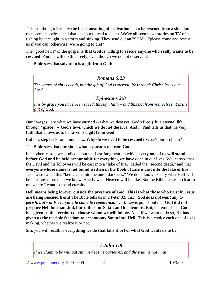This last thought is really **the basic meaning of "salvation" – to be rescued** from a situation that seems hopeless, and that is about to lead to death. We've all seen news stories on TV of a fishing boat caught in a storm and sinking. They send out an "SOS" – "please come and rescue us if you can; otherwise, we're going to die!"

The "good news" of the gospel is **that God is willing to rescue anyone who really wants to be rescued!** And he will do this freely, even though we do not deserve it!

The Bible says that **salvation is a gift from God:**

### *Romans 6:23*

*The wages of sin is death, but the gift of God is eternal life through Christ Jesus our Lord.* 

### *Ephesians 2:8*

*It is by grace you have been saved, through faith – and this not from yourselves, it is the gift of God.*

Our **"wages"** are what we have **earned** -- what we **deserve**. God's **free gift** is **eternal life** through **"grace" -- God's love, which we do not deserve**. And ... Paul tells us that the very **faith** that allows us to be saved **is a gift from God!**

But let's step back for a moment... **Why do we need to be rescued?** What's our problem?

The Bible says that **our sin is what separates us from God.**

In another lesson, we studied about the Last Judgment, in which **every one of us will stand before God and be held accountable** for everything we have done in our lives. We learned that the Devil and his followers will be cast into a "lake of fire," called the "second death," and that **everyone whose name is not found written in the Book of Life is cast into the lake of fire!** Jesus also called this "being cast into the outer darkness." We don't know exactly what Hell will be like, any more than we know exactly what Heaven will be like. But the Bible makes it clear to me where **I** want to spend eternity!

**Hell means being forever outside the presence of God. This is what those who trust in Jesus are being rescued from!** The Bible tells us in 2 Peter 3:9 that *"God does not want any to perish, but wants everyone to come to repentance."* C.S. Lewis points out that **God did not prepare Hell for mankind, but rather for Satan and his demons.** But, he reminds us, **God has given us the freedom to choose whom we will follow.** And, if we want to do so, **He has given us the terrible freedom to accompany Satan into Hell!** This is a choice each one of us is making, whether we realize it or not.

**Sin**, you will recall, is **everything we do that falls short of what God wants us to be.**

*1 John 1:8* 

*If we claim to be without sin, we deceive ourselves, and the truth is not in us.*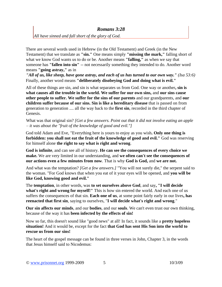### *Romans 3:28*

*All have sinned and fall short of the glory of God.* 

There are several words used in Hebrew (in the Old Testament) and Greek (in the New Testament) that we translate as **"sin."** One means simply **"missing the mark,"** falling short of what we know God wants us to do or be. Another means **"falling,"** as when we say that someone has **"fallen into sin"** -- not necessarily something they intended to do. Another word means **"going astray,"** as in

*"All of us, like sheep, have gone astray, and each of us has turned to our own way." (Isa 53:6)* Finally, another word means **"deliberately disobeying God and doing what is evil."**

All of these things are sin, and sin is what separates us from God. One way or another**, sin is what causes all the trouble in the world. We suffer for our own sins,** and **our sins cause other people to suffer. We suffer for the sins of our parents** and our grandparents, and **our children suffer because of our sins. Sin is like a hereditary disease** that is passed on from generation to generation .... all the way back to the **first sin**, recorded in the third chapter of Genesis.

What was that original sin? *[Get a few answers. Point out that it did not involve eating an apple – it was about the "fruit of the knowledge of good and evil."]*

God told Adam and Eve, "Everything here is yours to enjoy as you wish**. Only one thing is forbidden: you shall not eat the fruit of the knowledge of good and evil."** God was reserving for himself alone **the right to say what is right and wrong**.

**God is infinite**, and can see all of history. **He can see the consequences of every choice we make.** We are very limited in our understanding, and **we often can't see the consequences of our actions even a few minutes from now**. That is why **God is God,** and **we are not.**

And what was the temptation? *[Get a few answers.]* "You will not surely die," the serpent said to the woman. "For God knows that when you eat of it your eyes will be opened, and **you will be like God, knowing good and evil."** 

The **temptation**, in other words, was **to set ourselves above God**, and say**, "I will decide what's right and wrong for myself!"** This is how sin entered the world. And each one of us suffers the consequences of that sin. **Each one of us**, at some point fairly early in our lives**, has reenacted that first sin**, saying to ourselves, "**I will decide what's right and wrong**."

**Our sin affects our minds**, and our **bodies**, and our **souls**. We can't even trust our own thinking, because of the way it has **been infected by the effects of sin!** 

Now so far, this doesn't sound like "good news" at all! In fact, it sounds like a **pretty hopeless situation!** And it would be, except for the fact **that God has sent His Son into the world to rescue us from our sins!** 

The heart of the gospel message can be found in three verses in John, Chapter 3, in the words that Jesus himself said to Nicodemus: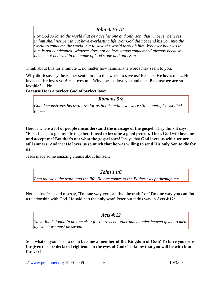### *John 3:16-18*

*For God so loved the world that he gave his one and only son, that whoever believes in him shall not perish but have everlasting life. For God did not send his Son into the world to condemn the world, but to save the world through him. Whoever believes in him is not condemned; whoever does not believe stands condemned already because he has not believed in the name of God's one and only Son.* 

Think about this for a minute ... no matter how familiar the words may seem to you.

**Why** did Jesus say the Father sent him into this world to save us? Because **He loves us!** ... He **loves** us! He loves **you**! He loves **me**! Why does he love you and me? **Because we are so lovable? .**.. No!

#### **Because He is a perfect God of perfect love!**

*Romans 5:8*

*God demonstrates his own love for us in this: while we were still sinners, Christ died for us.* 

Here is where **a lot of people misunderstand the message of the gospel**. They think it says, "First, I need to get my life together**. I need to become a good person. Then, God will love me and accept me!** But **that's not what the gospel says**! It says that **God loves us while we are still sinners!** And that **He loves us so much that he was willing to send His only Son to die for us!** 

Jesus made some amazing claims about himself:

*John 14:6*

*I am the way, the truth, and the life. No one comes to the Father except through me.* 

Notice that Jesus did **not** say, "I'm **one way** you can find the truth," or "I'm **one way** you can find a relationship with God. He said he's the **only way!** Peter put it this way in Acts 4:12:

*Acts 4:12*

*Salvation is found in no one else; for there is no other name under heaven given to men by which we must be saved.* 

So .. what do you need to do to **become a member of the Kingdom of God?** To **have your sins forgiven?** To be **declared righteous in the eyes of God**? **To know that you will be with him forever?**

© www.prisonnet.org 1999-2009 6 10/3/09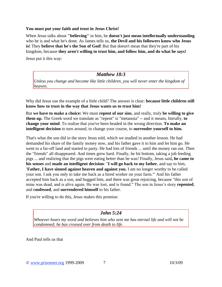#### **You must put your faith and trust in Jesus Christ!**

When Jesus talks about **"believing"** in him, he **doesn't just mean intellectually understanding**  who he is and what he's done. As James tells us, **the Devil and his followers know who Jesus is!** They **believe that he's the Son of God!** But that doesn't mean that they're part of his kingdom, because **they aren't willing to trust him, and follow him, and do what he says!**

Jesus put it this way:

#### *Matthew 18:3*

*Unless you change and become like little children, you will never enter the kingdom of heaven.* 

Why did Jesus use the example of a little child? The answer is clear: **because little children still know how to trust in the way that Jesus wants us to trust him!**

But **we have to make a choice:** We must **repent of our sins**, and really, truly **be willing to give them up.** The Greek word we translate as "repent" is "metanoia" -- and it means, literally, **to change your mind**. To realize that you've been headed in the wrong direction. **To make an intelligent decision** to turn around, to change your course, to **surrender yourself to him.**

That's what the son did in the story Jesus told, which we studied in another lesson. He had demanded his share of the family money now, and his father gave it to him and let him go. He went to a far-off land and started to party. He had lots of friends ... until the money ran out. Then the "friends" all disappeared. And times grew hard. Finally, he hit bottom, taking a job feeding pigs ... and realizing that the pigs were eating better than he was! Finally, Jesus said**, he came to his senses** and **made an intelligent decision**: "**I will go back to my father**, and say to him, **'Father, I have sinned against heaven and against you.** I am no longer worthy to be called your son. I ask you only to take me back as a hired worker on your farm.'" And his father accepted him back as a son, and hugged him, and there was great rejoicing, because "this son of mine was dead, and is alive again. He was lost, and is found." The son in Jesus's story **repented**, and **confessed**, and **surrendered himself** to his father.

If you're willing to do this, Jesus makes this promise:

### *John 5:24*

*Whoever hears my word and believes him who sent me has eternal life and will not be condemned; he has crossed over from death to life.* 

And Paul tells us that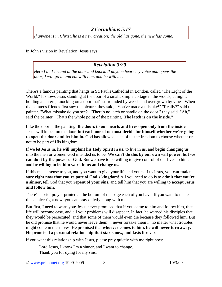### *2 Corinthians 5:17*

*If anyone is in Christ, he is a new creation; the old has gone, the new has come.* 

In John's vision in Revelation, Jesus says:

### *Revelation 3:20*

*Here I am! I stand at the door and knock. If anyone hears my voice and opens the door, I will go in and eat with him, and he with me.* 

There's a famous painting that hangs in St. Paul's Cathedral in London, called "The Light of the World." It shows Jesus standing at the door of a small, simple cottage in the woods, at night, holding a lantern, knocking on a door that's surrounded by weeds and overgrown by vines. When the painter's friends first saw the picture, they said, "You've made a mistake!" "Really?" said the painter. "What mistake do you see?" "There's no latch or handle on the door," they said. "Ah," said the painter. "That's the whole point of the painting. **The latch is on the inside."**

Like the door in the painting, **the doors to our hearts and lives open only from the inside**. Jesus will knock on the door, **but each one of us must decide for himself whether we're going to open the door and let him in.** God has allowed each of us the freedom to choose whether or not to be part of His kingdom.

If we let Jesus in, **he will implant his Holy Spirit in us**, to live in us, and **begin changing us** into the men or women God intended us to be. **We can't do this by our own will power**, **but we can do it by the power of God.** But we have to be willing to give control of our lives to him, and **be willing to let him work in us and change us.** 

If this makes sense to you, and you want to give your life and yourself to Jesus, you **can make sure right now that you're part of God's kingdom!** All you need to do is to **admit that you're a sinner,** tell God that you **repent of your sins**, and tell him that you are willing to **accept Jesus and follow him.** 

There's a brief prayer printed at the bottom of the page each of you have. If you want to make this choice right now, you can pray quietly along with me.

But first, I need to warn you: Jesus never promised that if you come to him and follow him, that life will become easy, and all your problems will disappear. In fact, he warned his disciples that they would be persecuted, and that some of them would even die because they followed him. But he did promise that he would never leave them ... never forsake them ... no matter what troubles might come in their lives. He promised that **whoever comes to him, he will never turn away. He promised a personal relationship that starts now, and lasts forever.** 

If you want this relationship with Jesus, please pray quietly with me right now:

Lord Jesus, I know I'm a sinner, and I want to change. Thank you for dying for my sins.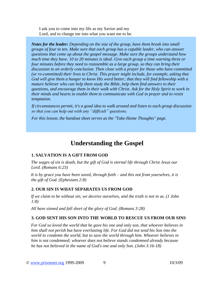I ask you to come into my life as my Savior and my Lord, and to change me into what you want me to be.

*Notes for the leader: Depending on the size of the group, have them break into small groups of four to ten. Make sure that each group has a capable leader, who can answer questions that come up about the gospel message. Make sure the groups understand how much time they have. 10 to 20 minutes is ideal. Give each group a time warning three or four minutes before they need to reassemble as a large group, so they can bring their discussion to an orderly conclusion. Then close with a prayer for those who have committed (or re-committed) their lives to Christ. This prayer might include, for example, asking that God will give them a hunger to know His word better; that they will find fellowship with a mature believer who can help them study the Bible, help them find answers to their questions, and encourage them in their walk with Christ. Ask for the Holy Spirit to work in their minds and hearts to enable them to communicate with God in prayer and to resist temptation.* 

*If circumstances permit, it's a good idea to walk around and listen to each group discussion so that you can help out with any "difficult" questions.* 

*For this lesson, the handout sheet serves as the "Take-Home Thoughts" page.* 

# **Understanding the Gospel**

### **1. SALVATION IS A GIFT FROM GOD**

*The wages of sin is death, but the gift of God is eternal life through Christ Jesus our Lord. (Romans 6:23)* 

*It is by grace you have been saved, through faith – and this not from yourselves, it is the gift of God. (Ephesians 2:8)*

### **2. OUR SIN IS WHAT SEPARATES US FROM GOD**

*If we claim to be without sin, we deceive ourselves, and the truth is not in us. (1 John 1:8)* 

*All have sinned and fall short of the glory of God. (Romans 3:28)*

### **3. GOD SENT HIS SON INTO THE WORLD TO RESCUE US FROM OUR SINS**

*For God so loved the world that he gave his one and only son, that whoever believes in him shall not perish but have everlasting life. For God did not send his Son into the world to condemn the world, but to save the world through him. Whoever believes in him is not condemned; whoever does not believe stands condemned already because he has not believed in the name of God's one and only Son. (John 3:16-18)*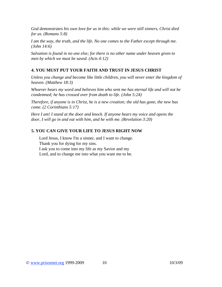*God demonstrates his own love for us in this: while we were still sinners, Christ died for us. (Romans 5:8)* 

*I am the way, the truth, and the life. No one comes to the Father except through me. (John 14:6)* 

*Salvation is found in no one else; for there is no other name under heaven given to men by which we must be saved. (Acts 4:12)*

### **4. YOU MUST PUT YOUR FAITH AND TRUST IN JESUS CHRIST**

*Unless you change and become like little children, you will never enter the kingdom of heaven. (Matthew 18:3)* 

*Whoever hears my word and believes him who sent me has eternal life and will not be condemned; he has crossed over from death to life. (John 5:24)* 

*Therefore, if anyone is in Christ, he is a new creation; the old has gone, the new has come. (2 Corinthians 5:17)* 

*Here I am! I stand at the door and knock. If anyone hears my voice and opens the door, I will go in and eat with him, and he with me. (Revelation 3:20)*

#### **5. YOU CAN GIVE YOUR LIFE TO JESUS RIGHT NOW**

Lord Jesus, I know I'm a sinner, and I want to change. Thank you for dying for my sins. I ask you to come into my life as my Savior and my Lord, and to change me into what you want me to be.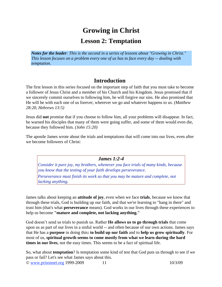# **Growing in Christ Lesson 2: Temptation**

*Notes for the leader: This is the second in a series of lessons about "Growing in Christ." This lesson focuses on a problem every one of us has to face every day -- dealing with temptation.* 

### **Introduction**

The first lesson in this series focused on the important step of faith that you must take to become a follower of Jesus Christ and a member of his Church and his Kingdom. Jesus promised that if we sincerely commit ourselves to following him, he will forgive our sins. He also promised that He will be with each one of us forever, wherever we go and whatever happens to us. *(Matthew 28:20, Hebrews 13:5)* 

Jesus did **not** promise that if you choose to follow him, all your problems will disappear. In fact, he warned his disciples that many of them were going suffer, and some of them would even die, because they followed him. *(John 15:20)*

The apostle James wrote about the trials and temptations that will come into our lives, even after we become followers of Christ:

### *James 1:2-4*

*Consider it pure joy, my brothers, whenever you face trials of many kinds, because you know that the testing of your faith develops perseverance. Perseverance must finish its work so that you may be mature and complete, not lacking anything.*

James talks about keeping an **attitude of joy**, even when we face **trials**, because we know that through these trials, God is building up our faith, and that we're learning to "hang in there" and trust him (that's what **perseverance** means). God works in our lives through these experiences to help us become **"mature and complete, not lacking anything."** 

God doesn't send us trials to punish us. Rather **He allows us to go through trials** that come upon us as part of our lives in a sinful world -- and often because of our own actions. James says that He has a **purpose** in doing this**: to build up our faith** and to **help us grow spiritually**. For most of us, **spiritual growth seems to come mostly from what we learn during the hard times in our lives**, not the easy times. This seems to be a fact of spiritual life.

© www.prisonnet.org 1999-2009 11 10/3/09 So, what about **temptation**? Is temptation some kind of test that God puts us through to see if we pass or fail? Let's see what James says about this.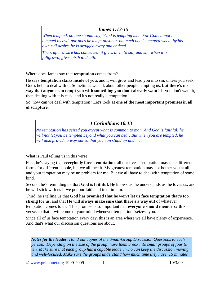### *James 1:13-15*

*When tempted, no one should say, "God is tempting me." For God cannot be tempted by evil, nor does he tempt anyone; but each one is tempted when, by his own evil desire, he is dragged away and enticed.* 

*Then, after desire has conceived, it gives birth to sin; and sin, when it is fullgrown, gives birth to death.*

Where does James say that **temptation** comes from?

He says **temptation starts inside of you**, and it will grow and lead you into sin, unless you seek God's help to deal with it. Sometimes we talk about other people tempting us, **but there's no way that anyone can tempt you with something you don't already want!** If you don't want it, then dealing with it is easy, and it's not really a temptation!

So, how can we deal with temptation? Let's look **at one of the most important promises in all of scripture.** 

### *1 Corinthians 10:13*

*No temptation has seized you except what is common to man. And God is faithful; he will not let you be tempted beyond what you can bear. But when you are tempted, he will also provide a way out so that you can stand up under it.* 

What is Paul telling us in this verse?

First, he's saying that **everybody faces temptation**, all our lives. Temptation may take different forms for different people, but we all face it. My greatest temptation may not bother you at all, and your temptation may be no problem for me. But we **all** have to deal with temptation of some kind.

Second, he's reminding us **that God is faithful.** He knows us, he understands us, he loves us, and he will stick with us if we put our faith and trust in him.

Third, he's telling us that **God has promised that he won't let us face temptation that's too strong for us**, and that **He will always make sure that there's a way out** of whatever temptation comes to us. This promise is so important that **everyone should memorize this verse,** so that it will come to your mind whenever temptation "seizes" you.

Since all of us face temptation every day, this is an area where we all have plenty of experience. And that's what our discussion questions are about.

*Notes for the leader: Hand out copies of the Small-Group Discussion Questions to each person. Depending on the size of the group, have them break into small groups of four to ten. Make sure that each group has a capable leader, who can keep the discussion moving and well-focused. Make sure the groups understand how much time they have. 15 minutes* 

© www.prisonnet.org 1999-2009 12 10/3/09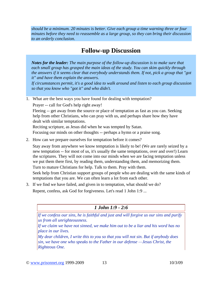*should be a minimum. 20 minutes is better. Give each group a time warning three or four minutes before they need to reassemble as a large group, so they can bring their discussion to an orderly conclusion.*

### **Follow-up Discussion**

*Notes for the leader: The main purpose of the follow-up discussion is to make sure that each small group has grasped the main ideas of the study. You can skim quickly through the answers if it seems clear that everybody understands them. If not, pick a group that "got it" and have them explain the answers.*

*If circumstances permit, it's a good idea to walk around and listen to each group discussion so that you know who "got it" and who didn't.*

1. What are the best ways you have found for dealing with temptation?

Prayer -- call for God's help right away!

Fleeing -- get away from the source or place of temptation as fast as you can. Seeking help from other Christians, who can pray with us, and perhaps share how they have dealt with similar temptations.

Reciting scripture, as Jesus did when he was tempted by Satan.

Focusing our minds on other thoughts -- perhaps a hymn or a praise song.

2. How can we prepare ourselves for temptation before it comes?

Stay away from anywhere we know temptation is likely to be! (We are rarely seized by a new temptation -- for most of us, it's usually the same temptations, over and over!) Learn the scriptures. They will not come into our minds when we are facing temptation unless we put them there first, by reading them, understanding them, and memorizing them. Turn to mature Christians for help. Talk to them. Pray with them. Seek help from Christian support groups of people who are dealing with the same kinds of temptations that you are. We can often learn a lot from each other.

3. If we find we have failed, and given in to temptation, what should we do?

Repent, confess, ask God for forgiveness. Let's read 1 John 1:9 ...

### *1 John 1:9 - 2:6*

*If we confess our sins, he is faithful and just and will forgive us our sins and purify us from all unrighteousness.* 

*If we claim we have not sinned, we make him out to be a liar and his word has no place in our lives.* 

*My dear children, I write this to you so that you will not sin. But if anybody does sin, we have one who speaks to the Father in our defense —Jesus Christ, the Righteous One.*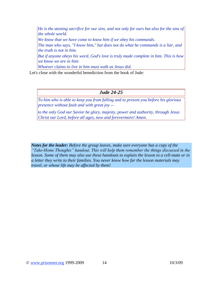*He is the atoning sacrifice for our sins, and not only for ours but also for the sins of the whole world. We know that we have come to know him if we obey his commands. The man who says, "I know him," but does not do what he commands is a liar, and the truth is not in him. But if anyone obeys his word, God's love is truly made complete in him. This is how we know we are in him:* 

*Whoever claims to live in him must walk as Jesus did.* 

Let's close with the wonderful benediction from the book of Jude:

### *Jude 24-25*

*To him who is able to keep you from falling and to present you before his glorious presence without fault and with great joy --* 

*to the only God our Savior be glory, majesty, power and authority, through Jesus Christ our Lord, before all ages, now and forevermore! Amen.* 

*Notes for the leader: Before the group leaves, make sure everyone has a copy of the "Take-Home Thoughts" handout. This will help them remember the things discussed in the lesson. Some of them may also use these handouts to explain the lesson to a cell-mate or in a letter they write to their families. You never know how far the lesson materials may travel, or whose life may be affected by them!*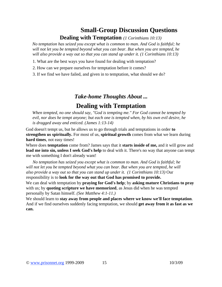# **Small-Group Discussion Questions**

### **Dealing with Temptation** *(1 Corinthians 10:13)*

*No temptation has seized you except what is common to man. And God is faithful; he will not let you be tempted beyond what you can bear. But when you are tempted, he will also provide a way out so that you can stand up under it. (1 Corinthians 10:13)* 

- 1. What are the best ways you have found for dealing with temptation?
- 2. How can we prepare ourselves for temptation before it comes?
- 3. If we find we have failed, and given in to temptation, what should we do?

### *Take-home Thoughts About ...*

### **Dealing with Temptation**

*When tempted, no one should say, "God is tempting me." For God cannot be tempted by evil, nor does he tempt anyone; but each one is tempted when, by his own evil desire, he is dragged away and enticed. (James 1:13-14)* 

God doesn't tempt us, but he allows us to go through trials and temptations in order **to strengthen us spiritually.** For most of us, **spiritual growth** comes from what we learn during **hard times**, not easy times!

Where does **temptation** come from? James says that it **starts inside of me,** and it will grow and **lead me into sin, unless I seek God's help** to deal with it. There's no way that anyone can tempt me with something I don't already want!

*No temptation has seized you except what is common to man. And God is faithful; he will not let you be tempted beyond what you can bear. But when you are tempted, he will also provide a way out so that you can stand up under it. (1 Corinthians 10:13)* Our responsibility is to **look for the way out that God has promised to provide.**

We can deal with temptation by **praying for God's help**; by **asking mature Christians to pray** with us; by **quoting scripture we have memorized**, as Jesus did when he was tempted personally by Satan himself. *(See Matthew 4:1-11.)*

We should learn to **stay away from people and places where we know we'll face temptation**. And if we find ourselves suddenly facing temptation, we should **get away from it as fast as we can.**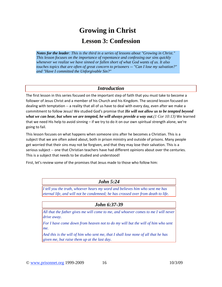# **Growing in Christ Lesson 3: Confession**

*Notes for the leader: This is the third in a series of lessons about "Growing in Christ." This lesson focuses on the importance of repentance and confessing our sins quickly whenever we realize we have sinned or fallen short of what God wants of us. It also touches topics that are often of great concern to prisoners -- "Can I lose my salvation?" and "Have I committed the Unforgivable Sin?"*

### *Introduction*

The first lesson in this series focused on the important step of faith that you must take to become a follower of Jesus Christ and a member of his Church and his Kingdom. The second lesson focused on dealing with temptation -- a reality that all of us have to deal with every day, even after we make a commitment to follow Jesus! We studied God's promise that *He will not allow us to be tempted beyond what we can bear, but when we are tempted, he will always provide a way out.(1 Cor 10:13)* We learned that we need His help to avoid sinning – if we try to do it on our own spiritual strength alone, we're going to fail.

This lesson focuses on what happens when someone sins after he becomes a Christian. This is a subject that we are often asked about, both in prison ministry and outside of prisons. Many people get worried that their sins may not be forgiven, and that they may lose their salvation. This is a serious subject -- one that Christian teachers have had different opinions about over the centuries. This is a subject that needs to be studied and understood!

First, let's review some of the promises that Jesus made to those who follow him:

### *John 5:24*

*I tell you the truth, whoever hears my word and believes him who sent me has eternal life, and will not be condemned; he has crossed over from death to life.* 

### *John 6:37-39*

*All that the father gives me will come to me, and whoever comes to me I will never drive away.* 

*For I have come down from heaven not to do my will but the will of him who sent me.* 

*And this is the will of him who sent me, that I shall lose none of all that he has given me, but raise them up at the last day.*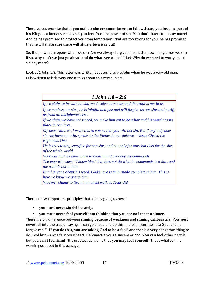These verses promise that **if you make a sincere commitment to follow Jesus, you become part of his Kingdom forever.** He has **set you free** from the power of sin. **You don't have to sin any more!**  And he has promised to protect you from temptations that are too strong for you; he has promised that he will make **sure there will always be a way out!** 

So, then -- what happens when we sin? Are we **always** forgiven, no matter how many times we sin? If so, **why can't we just go ahead and do whatever we feel like?** Why do we need to worry about sin any more?

Look at 1 John 1:8. This letter was written by Jesus' disciple John when he was a very old man. **It is written to believers** and it talks about this very subject.

### *1 John 1:8 – 2:6*

*If we claim to be without sin, we deceive ourselves and the truth is not in us.* 

*If we confess our sins, he is faithful and just and will forgive us our sins and purify us from all unrighteousness.* 

*If we claim we have not sinned, we make him out to be a liar and his word has no place in our lives.* 

*My dear children, I write this to you so that you will not sin. But if anybody does sin, we have one who speaks to the Father in our defense —Jesus Christ, the Righteous One.* 

*He is the atoning sacrifice for our sins, and not only for ours but also for the sins of the whole world.* 

*We know that we have come to know him if we obey his commands.* 

*The man who says, "I know him," but does not do what he commands is a liar, and the truth is not in him.* 

*But if anyone obeys his word, God's love is truly made complete in him. This is how we know we are in him:* 

*Whoever claims to live in him must walk as Jesus did.*

There are two important principles that John is giving us here:

- **you must never sin deliberately.**
- **you must never fool yourself into thinking that you are no longer a sinner.**

There is a big difference between **sinning because of weakness** and **sinning deliberately!** You must never fall into the trap of saying, "I can go ahead and do this ... then I'll confess it to God, and he'll forgive me**!" If you do that, you are taking God to be a fool!** And that is a **very** dangerous thing to do! God **knows** what's in your heart. He **knows** if you're sincere or not. **You can fool other people**, but **you can't fool Him!** The greatest danger is that **you may fool yourself.** That's what John is warning us about in this passage.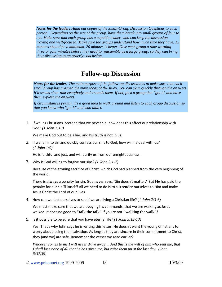*Notes for the leader: Hand out copies of the Small-Group Discussion Questions to each person. Depending on the size of the group, have them break into small groups of four to ten. Make sure that each group has a capable leader, who can keep the discussion moving and well-focused. Make sure the groups understand how much time they have. 15 minutes should be a minimum. 20 minutes is better. Give each group a time warning three or four minutes before they need to reassemble as a large group, so they can bring their discussion to an orderly conclusion.*

### **Follow-up Discussion**

*Notes for the leader: The main purpose of the follow-up discussion is to make sure that each small group has grasped the main ideas of the study. You can skim quickly through the answers if it seems clear that everybody understands them. If not, pick a group that "got it" and have them explain the answers.*

*If circumstances permit, it's a good idea to walk around and listen to each group discussion so that you know who "got it" and who didn't.*

1. If we, as Christians, pretend that we never sin, how does this affect our relationship with God? *(1 John 1:10)*

We make God out to be a liar, and his truth is not in us!

2. If we fall into sin and quickly confess our sins to God, how will he deal with us? *(1 John 1:9)*

He is faithful and just, and will purify us from our unrighteousness...

3. Why is God willing to forgive our sins? *(1 John 2:1-2)*

Because of the atoning sacrifice of Christ, which God had planned from the very beginning of the world.

There is **always** a penalty for sin. God **never** says, "Sin doesn't matter." But **He** has paid the penalty for our sin **Himself**! All we need to do is to **surrender** ourselves to Him and make Jesus Christ the Lord of our lives.

4. How can we test ourselves to see if we are living a Christian life? *(1 John 2:3-6)*

We must make sure that we are obeying his commands, that we are walking as Jesus walked. It does no good to **"talk the talk"** if you're not **"walking the walk"!**

5. Is it possible to be sure that you have eternal life? *(1 John 5:12-13)*

Yes! That's why John says he is writing this letter! He doesn't want the young Christians to worry about losing their salvation. As long as they are sincere in their commitment to Christ, they (and we) are safe. Remember the verses we read earlier?

*Whoever comes to me I will never drive away ... And this is the will of him who sent me, that I shall lose none of all that he has given me, but raise them up at the last day. (John 6:37,39)*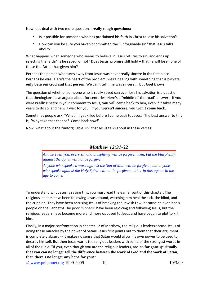Now let's deal with two more questions: **really tough questions:**

- Is it possible for someone who has proclaimed his faith in Christ to lose his salvation?
- How can you be sure you haven't committed the "unforgivable sin" that Jesus talks about?

What happens when someone who seems to believe in Jesus returns to sin, and ends up rejecting the faith? Is he saved, or not? Does Jesus' promise still hold – that he will lose none of those the Father has given him?

Perhaps the person who turns away from Jesus was never really sincere in the first place. Perhaps he was. Here's the heart of the problem: we're dealing with something that is **private, only between God and that person.** We can't tell if he was sincere ... but **God** knows!

The question of whether someone who is really saved can ever lose his salvation is a question that theologians have argued about for centuries. Here's a "middle-of-the-road" answer: If you were **really sincere** in your comment to Jesus, **you will come back** to him, even if it takes many years to do so, and he will wait for you. If you **weren't sincere, you won't come back.** 

Sometimes people ask, "What if I get killed before I come back to Jesus." The best answer to this is, "Why take that chance? Come back now!"

Now, what about the "unforgivable sin" that Jesus talks about in these verses:

### *Matthew 12:31-32*

*And so I tell you, every sin and blasphemy will be forgiven men, but the blasphemy against the Spirit will not be forgiven.* 

*Anyone who speaks a word against the Son of Man will be forgiven, but anyone who speaks against the Holy Spirit will not be forgiven, either in this age or in the age to come.*

To understand why Jesus is saying this, you must read the earlier part of this chapter. The religious leaders have been following Jesus around, watching him heal the sick, the blind, and the crippled. They have been accusing Jesus of breaking the Jewish Law, because he even heals people on the Sabbath! The poor "sinners" have been rejoicing and following Jesus, but the religious leaders have become more and more opposed to Jesus and have begun to plot to kill him.

Finally, in a major confrontation in chapter 12 of Matthew, the religious leaders accuse Jesus of doing these miracles by the power of Satan! Jesus first points out to them that their argument is completely absurd -- it makes no sense that Satan would allow his own power to be used to destroy himself. But then Jesus warns the religious leaders with some of the strongest words in all of the Bible: "If you, even though you are the religious leaders, are **so far gone spiritually that you can no longer tell the difference between the work of God and the work of Satan, then there's no longer any hope for you!"** 

© www.prisonnet.org 1999-2009 19 10/3/09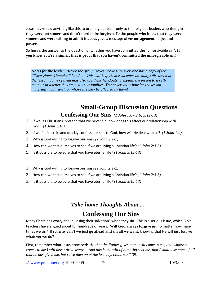Jesus **never** said anything like this to ordinary people -- only to the religious leaders who **thought they were not sinners** and **didn't need to be forgiven**. To the people **who knew that they were sinners**, and **were willing to admit it,** Jesus gave a message of **encouragement, hope, and power.** 

So here's the answer to the question of whether you have committed the "unforgivable sin": **If you know you're a sinner, that is proof that you haven't committed the unforgivable sin!**

*Notes for the leader: Before the group leaves, make sure everyone has a copy of the "Take-Home Thoughts" handout. This will help them remember the things discussed in the lesson. Some of them may also use these handouts to explain the lesson to a cellmate or in a letter they write to their families. You never know how far the lesson materials may travel, or whose life may be affected by them!*

# **Small-Group Discussion Questions**

**Confessing Our Sins** *(1 John 1:8 - 2:6; 5:12-13)*

- 1. If we, as Christians, pretend that we never sin, how does this affect our relationship with God? *(1 John 1:10)*
- 2. If we fall into sin and quickly confess our sins to God, how will He deal with us? *(1 John 1:9)*
- 3. Why is God willing to forgive our sins? *(1 John 2:1-2)*
- 4. How can we test ourselves to see if we are living a Christian life? *(1 John 2:3-6)*
- 5. Is it possible to be sure that you have eternal life? *(1 John 5:12-13)*
- 1. Why is God willing to forgive our sins? *(1 John 2:1-2)*
- 2. How can we test ourselves to see if we are living a Christian life? *(1 John 2:3-6)*
- 3. Is it possible to be sure that you have eternal life? *(1 John 5:12-13)*

### *Take-home Thoughts About ...*

### **Confessing Our Sins**

Many Christians worry about "losing their salvation" when they sin. This is a serious issue, which Bible teachers have argued about for hundreds of years. **Will God always forgive us**, no matter how many times we sin? If so**, why can't we just go ahead and sin all we want**, knowing that He will just forgive whatever we do?

First, remember what Jesus promised: *All that the Father gives to me will come to me, and whoever comes to me I will never drive away.... And this is the will of him who sent me, that I shall lose none of all that he has given me, but raise then up at the last day. (John 6:37-39)* 

© www.prisonnet.org 1999-2009 20 10/3/09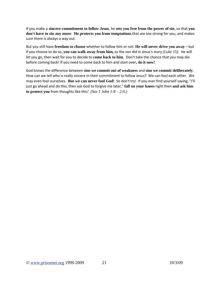If you make a **sincere commitment to follow Jesus**, he **sets you free from the power of sin**, so that **you don't have to sin any more**. **He protects you from temptations** that are too strong for you, and makes sure there is always a way out.

But you still have **freedom to choose** whether to follow him or not. **He will never drive you away** – but if you choose to do so, **you can walk away from him,** as the son did in Jesus's story *(Luke 15).* He will let you go, then wait for you to decide to **come back to him**. Don't take the chance that you may die before coming back! If you need to come back to him and start over**, do it now!** 

God knows the difference between **sins we commit out of weakness** and **sins we commit deliberately**. How can we tell who is really sincere in their commitment to follow Jesus? We can fool each other. We may even fool ourselves. **But we can never fool God!** So don't try! If you ever find yourself saying, "I'll just go ahead and do this, then ask God to forgive me later," **fall on your knees** right then **and ask him to protect you** from thoughts like this*! (See 1 John 1:8 – 2:6.)*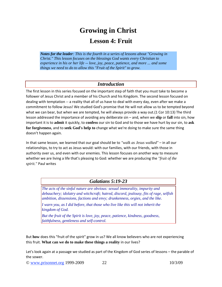# **Growing in Christ Lesson 4: Fruit**

*Notes for the leader: This is the fourth in a series of lessons about "Growing in Christ." This lesson focuses on the blessings God wants every Christian to experience in his or her life -- love, joy, peace, patience, and more ... and some things we need to do to allow this "Fruit of the Spirit" to grow.*

### *Introduction*

The first lesson in this series focused on the important step of faith that you must take to become a follower of Jesus Christ and a member of his Church and his Kingdom. The second lesson focused on dealing with temptation -- a reality that all of us have to deal with every day, even after we make a commitment to follow Jesus! We studied God's promise that He will not allow us to be tempted beyond what we can bear, but when we are tempted, he will always provide a way out.(1 Cor 10:13) The third lesson addressed the importance of avoiding any deliberate sin – and, when we **slip** or **fall** into sin, how important it is to **admit** it quickly, to **confess** our sin to God and to those we have hurt by our sin, to **ask for forgiveness**, and to **seek God's help to** change what we're doing to make sure the same thing doesn't happen again.

In that same lesson, we learned that our goal should be to *"walk as Jesus walked"* – in all our relationships, to try to act as Jesus would: with our families, with our friends, with those in authority over us, and even with our enemies. This lesson focuses on another way to measure whether we are living a life that's pleasing to God: whether we are producing the *"fruit of the spirit."* Paul writes

### *Galatians 5:19-23*

*The acts of the sinful nature are obvious: sexual immorality, impurity and debauchery; idolatry and witchcraft; hatred, discord, jealousy, fits of rage, selfish ambition, dissensions, factions and envy; drunkenness, orgies, and the like.* 

*I* warn you, as *I* did before, that those who live like this will not inherit the *kingdom of God.* 

*But the fruit of the Spirit is love, joy, peace, patience, kindness, goodness, faithfulness, gentleness and self-control.*

But **how** does this "fruit of the spirit" grow in us? We all know believers who are not experiencing this fruit. **What can we do to make these things a reality** in our lives?

Let's look again at a passage we studied as part of the Kingdom of God series of lessons – the parable of the sower.

© www.prisonnet.org 1999-2009 22 10/3/09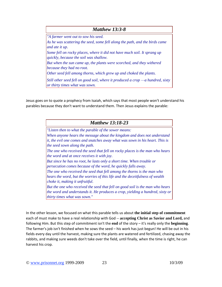### *Matthew 13:3-8 "A farmer went out to sow his seed. As he was scattering the seed, some fell along the path, and the birds came and ate it up. Some fell on rocky places, where it did not have much soil. It sprang up quickly, because the soil was shallow. But when the sun came up, the plants were scorched, and they withered because they had no root. Other seed fell among thorns, which grew up and choked the plants. Still other seed fell on good soil, where it produced a crop —a hundred, sixty or thirty times what was sown.*

Jesus goes on to quote a prophecy from Isaiah, which says that most people won't understand his parables because they don't want to understand them. Then Jesus explains the parable:

### *Matthew 13:18-23 "Listen then to what the parable of the sower means: When anyone hears the message about the kingdom and does not understand it, the evil one comes and snatches away what was sown in his heart. This is the seed sown along the path. The one who received the seed that fell on rocky places is the man who hears the word and at once receives it with joy. But since he has no root, he lasts only a short time. When trouble or persecution comes because of the word, he quickly falls away. The one who received the seed that fell among the thorns is the man who hears the word, but the worries of this life and the deceitfulness of wealth choke it, making it unfruitful. But the one who received the seed that fell on good soil is the man who hears the word and understands it. He produces a crop, yielding a hundred, sixty or thirty times what was sown."*

In the other lesson, we focused on what this parable tells us about **the initial step of commitment** each of must make to have a real relationship with God -- **accepting Christ as Savior and Lord,** and following Him. But this step of commitment isn't the **end** of the story – it's really only the **beginning**. The farmer's job isn't finished when he sows the seed – his work has just begun! He will be out in his fields every day until the harvest, making sure the plants are watered and fertilized, chasing away the rabbits, and making sure weeds don't take over the field, until finally, when the time is right, he can harvest his crop.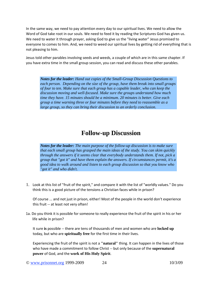In the same way, we need to pay attention every day to our spiritual lives. We need to allow the Word of God take root in our souls. We need to feed it by reading the Scriptures God has given us. We need to water it through prayer, asking God to give us the "living water" Jesus promised to everyone to comes to him. And, we need to weed our spiritual lives by getting rid of everything that is not pleasing to him.

Jesus told other parables involving seeds and weeds, a couple of which are in this same chapter. If you have extra time in the small group session, you can read and discuss these other parables.

*Notes for the leader: Hand out copies of the Small-Group Discussion Questions to each person. Depending on the size of the group, have them break into small groups of four to ten. Make sure that each group has a capable leader, who can keep the discussion moving and well-focused. Make sure the groups understand how much time they have. 15 minutes should be a minimum. 20 minutes is better. Give each group a time warning three or four minutes before they need to reassemble as a large group, so they can bring their discussion to an orderly conclusion.*

# **Follow-up Discussion**

*Notes for the leader: The main purpose of the follow-up discussion is to make sure that each small group has grasped the main ideas of the study. You can skim quickly through the answers if it seems clear that everybody understands them. If not, pick a group that "got it" and have them explain the answers. If circumstances permit, it's a good idea to walk around and listen to each group discussion so that you know who "got it" and who didn't.*

1. Look at this list of "fruit of the spirit," and compare it with the list of "worldly values." Do you think this is a good picture of the tensions a Christian faces while in prison?

Of course ... and not just in prison, either! Most of the people in the world don't experience this fruit -- at least not very often!

1a. Do you think it is possible for someone to really experience the fruit of the spirit in his or her life while in prison?

It sure **is** possible -- there are tens of thousands of men and women who are **locked up** today, but who are **spiritually free** for the first time in their lives.

Experiencing the fruit of the spirit is not a **"natural"** thing. It can happen in the lives of those who have made a commitment to follow Christ -- but only because of the **supernatural power** of God, and the **work of His Holy Spirit**.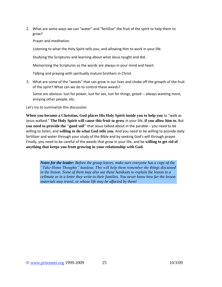2. What are some ways we can "water" and "fertilize" the fruit of the spirit to help them to grow?

Prayer and meditation.

Listening to what the Holy Spirit tells you, and allowing Him to work in your life.

Studying the Scriptures and learning about what Jesus taught and did.

Memorizing the Scriptures so the words are always in your mind and heart.

Talking and praying with spiritually mature brothers in Christ.

3. What are some of the "weeds" that can grow in our lives and choke off the growth of the fruit of the spirit? What can we do to control these weeds?

Some are obvious: lust for power, lust for sex, lust for things, greed -- always wanting more, envying other people, etc.

Let's try to summarize this discussion:

**When you become a Christian, God places His Holy Spirit inside you to help you** to "walk as Jesus walked." **The Holy Spirit will cause this fruit to grow** in your life, **if you allow him to.** But **you need to provide the "good soil"** that Jesus talked about in the parable – you need to be willing to listen, and **willing to do what God tells you**. And you need to be willing to provide daily fertilizer and water through your study of the Bible and by seeking God's will through prayer. Finally, you need to be careful of the weeds that grow in your life, and be **willing to get rid of anything that keeps you from growing in your relationship with God.** 

*Notes for the leader: Before the group leaves, make sure everyone has a copy of the "Take-Home Thoughts" handout. This will help them remember the things discussed in the lesson. Some of them may also use these handouts to explain the lesson to a cellmate or in a letter they write to their families. You never know how far the lesson materials may travel, or whose life may be affected by them!*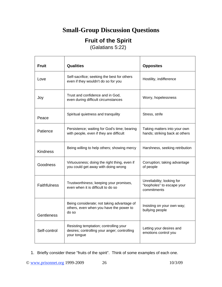# **Small-Group Discussion Questions**

# **Fruit of the Spirit**

(Galatians 5:22)

| <b>Fruit</b>        | <b>Qualities</b>                                                                                      | <b>Opposites</b>                                                        |  |
|---------------------|-------------------------------------------------------------------------------------------------------|-------------------------------------------------------------------------|--|
| Love                | Self-sacrifice; seeking the best for others<br>even if they wouldn't do so for you                    | Hostility, indifference                                                 |  |
| Joy                 | Trust and confidence and in God,<br>even during difficult circumstances                               | Worry, hopelessness                                                     |  |
| Peace               | Spiritual quietness and tranquility                                                                   | Stress, strife                                                          |  |
| Patience            | Persistence; waiting for God's time; bearing<br>with people, even if they are difficult               | Taking matters into your own<br>hands; striking back at others          |  |
| <b>Kindness</b>     | Being willing to help others; showing mercy                                                           | Harshness, seeking retribution                                          |  |
| <b>Goodness</b>     | Virtuousness; doing the right thing, even if<br>you could get away with doing wrong                   | Corruption; taking advantage<br>of people                               |  |
| <b>Faithfulness</b> | Trustworthiness; keeping your promises,<br>even when it is difficult to do so                         | Unreliability; looking for<br>"loopholes" to escape your<br>commitments |  |
| Gentleness          | Being considerate; not taking advantage of<br>others, even when you have the power to<br>do so        | Insisting on your own way;<br>bullying people                           |  |
| Self-control        | Resisting temptation; controlling your<br>desires; controlling your anger; controlling<br>your tongue | Letting your desires and<br>emotions control you                        |  |

1. Briefly consider these "fruits of the spirit". Think of some examples of each one.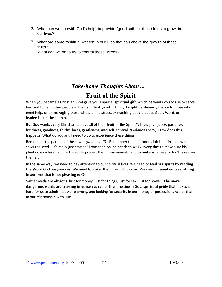- 2. What can we do (with God's help) to provide "good soil" for these fruits to grow in our lives?
- 3. What are some "spiritual weeds" in our lives that can choke the growth of these fruits?

What can we do to try to control these weeds?

### *Take-home Thoughts About ...*

# **Fruit of the Spirit**

When you became a Christian, God gave you a **special spiritual gift**, which he wants you to use to serve him and to help other people in their spiritual growth. This gift might be **showing mercy** to those who need help, or **encouraging** those who are in distress, or **teaching** people about God's Word, or **leadership** in the church.

But God wants **every** Christian to have all of the **"fruit of the Spirit": love, joy, peace, patience, kindness, goodness, faithfulness, gentleness, and self-control**. *(Galatians 5:19)* **How does this happen?** What do you and I need to do to experience these things?

Remember the parable of the sower *(Matthew 13).* Remember that a farmer's job isn't finished when he sows the seed – it's really just started! From then on, he needs to **work every day** to make sure his plants are watered and fertilized, to protect them from animals, and to make sure weeds don't take over the field.

In the same way, we need to pay attention to our spiritual lives. We need to **feed** our spirits by **reading the Word** God has given us. We need to **water** them through **prayer**. We need to **weed out everything** in our lives that is **not pleasing to God**.

**Some weeds are obvious**: lust for money, lust for things, lust for sex, lust for power. **The more dangerous weeds are trusting in ourselves** rather than trusting in God**, spiritual pride** that makes it hard for us to admit that we're wrong, and looking for security in our money or possessions rather than in our relationship with Him.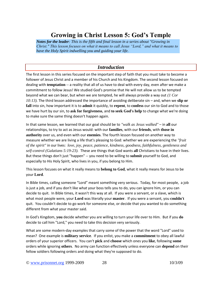# **Growing in Christ Lesson 5: God's Temple**

*Notes for the leader: This is the fifth and final lesson in a series about "Growing in Christ." This lesson focuses on what it means to call Jesus "Lord," and what it means to have the Holy Spirit indwelling you and guiding your life.* 

### *Introduction*

The first lesson in this series focused on the important step of faith that you must take to become a follower of Jesus Christ and a member of his Church and his Kingdom. The second lesson focused on dealing with **temptation** -- a reality that all of us have to deal with every day, even after we make a commitment to follow Jesus! We studied God's promise that He will not allow us to be tempted beyond what we can bear, but when we are tempted, he will always provide a way out *(1 Cor 10:13).* The third lesson addressed the importance of avoiding deliberate sin – and, when we **slip or fall** into sin, how important it is to **admit** it quickly, to **repent**, to **confess** our sin to God and to those we have hurt by our sin, to **ask for forgiveness**, and **to seek God's help** to change what we're doing to make sure the same thing doesn't happen again.

In that same lesson, we learned that our goal should be to *"walk as Jesus walked"* – in **all** our relationships, to try to act as Jesus would: with our **families**, with our **friends**, with **those in authority** over us, and even with our **enemies**. The fourth lesson focused on another way to measure whether we are living a life that's pleasing to God: whether we are experiencing the *"fruit of the spirit"* in our lives: *love, joy, peace, patience, kindness, goodness, faithfulness, gentleness and self-control (Galatians 5:19-23).* These are things that God wants **all** Christians to have in their lives. But these things don't just "happen" -- you need to be willing to **submit** yourself to God, and especially to His Holy Spirit, who lives in you, if you belong to Him.

This lesson focuses on what it really means to **belong to God**, what it really means for Jesus to be your **Lord**.

In Bible times, calling someone "Lord" meant something very serious. Today, for most people, a job is just a job, and if you don't like what your boss tells you to do, you can ignore him, or you can decide to quit. In Bible times, it wasn't this way at all. If you were a servant, or a slave, which is what most people were, your **Lord** was literally your **master**. If you were a servant, you **couldn't**  quit. You couldn't decide to go work for someone else, or decide that you wanted to do something different from what your master said.

In God's Kingdom, **you** decide whether you are willing to turn your life over to Him. But if you **do** decide to call him "Lord," you need to take this decision very seriously.

What are some modern-day examples that carry some of the power that the word "Lord" used to mean? One example is **military service**. If you enlist, you make a **commitment** to obey all lawful orders of your superior officers. You can't **pick** and **choose** which ones you **like**, following **some** orders while ignoring **others**. No army can function effectively unless everyone can **depend** on their fellow soldiers following orders and doing what they're supposed to do.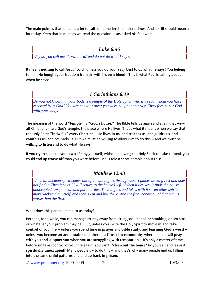The main point is that it meant a **lot** to call someone **lord** in ancient times. And it **still** should mean a lot **today**. Keep that in mind as we read the question Jesus asked his followers:

*Luke 6:46* 

*Why do you call me, 'Lord, Lord,' and do not do what I say?.*

It means **nothing** to call Jesus "Lord" unless you do your **very best** to **do** what he **says!** You **belong** to him. He **bought** your freedom from sin with his **own blood!** This is what Paul is talking about when he says:

*1 Corinthians 6:19* 

*Do you not know that your body is a temple of the Holy Spirit, who is in you, whom you have received from God? You are not your own; you were bought at a price. Therefore honor God with your body.*

The meaning of the word **"temple"** is **"God's house."** The Bible tells us again and again that **we** – **all** Christians -- are God's **temple**, the place where He lives. That's what it means when we say that the Holy Spirit **"indwells"** every Christian -- He **lives in us**, and **teaches** us, and **guides** us, and **comforts** us, and **counsels** us. But we must be **willing** to allow Him to do this -- and we must be **willing** to **listen** and to **do** what He says.

If you try to clean up your **own** life, by **yourself**, without allowing the Holy Spirit to **take control**, you could end up **worse off** than you were before. Jesus told a short parable about this:

### *Matthew 12:43*

*When an unclean spirit comes out of a man, it goes through desert places seeking rest and does not find it. Then it says, "I will return to the house I left." When it arrives, it finds the house unoccupied, swept clean and put in order. Then it goes and takes with it seven other spirits more wicked than itself, and they go in and live there. And the final condition of that man is worse than the first.*

What does this parable mean to us today?

Perhaps, for a while, you can manage to stay away from **drugs**, or **alcohol**, or **smoking**, or **sex sins**, or whatever your problem may be. But, unless you invite the Holy Spirit to **move in** and **take control** of your life -- unless you spend time in **prayer** and **bible study**, and **learning God's word** – unless you become an **accountable member of a Christian community** where people will **pray with you** and **support you** when you are **struggling with temptation** -- it's only a matter of time before sin takes control of your life again! You can't "**clean out the house**" by yourself and leave it **spiritually unoccupied**! Many people try to do this -- and that's why many people end up falling into the same sinful patterns and end up **back in prison**.

© www.prisonnet.org 1999-2009 29 10/3/09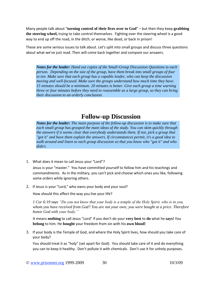Many people talk about "**turning control of their lives over to God**" – but then they keep **grabbing the steering wheel,** trying to take control themselves. Fighting over the steering wheel is a good way to end up off the road, in the ditch, or worse, like dead, or back in prison!

These are some serious issues to talk about. Let's split into small groups and discuss three questions about what we've just read. Then will come back together and compare our answers.

*Notes for the leader: Hand out copies of the Small-Group Discussion Questions to each person. Depending on the size of the group, have them break into small groups of four to ten. Make sure that each group has a capable leader, who can keep the discussion moving and well-focused. Make sure the groups understand how much time they have. 15 minutes should be a minimum. 20 minutes is better. Give each group a time warning three or four minutes before they need to reassemble as a large group, so they can bring their discussion to an orderly conclusion.*

# **Follow-up Discussion**

*Notes for the leader: The main purpose of the follow-up discussion is to make sure that each small group has grasped the main ideas of the study. You can skim quickly through the answers if it seems clear that everybody understands them. If not, pick a group that "got it" and have them explain the answers. If circumstances permit, it's a good idea to walk around and listen to each group discussion so that you know who "got it" and who didn't.*

1. What does it mean to call Jesus your "Lord"?

Jesus is your "master." You have committed yourself to follow him and his teachings and commandments. As in the military, you can't pick and choose which ones you like, following some orders while ignoring others.

2. If Jesus is your "Lord," who owns your body and your soul?

How should this affect the way you live your life?

*1 Cor 6:19* says *"Do you not know that your body is a temple of the Holy Spirit, who is in you, whom you have received from God? You are not your own; you were bought at a price. Therefore honor God with your body."* 

It means **nothing** to call Jesus "Lord" if you don't do your **very best** to **do** what he **says!** You **belong** to him. He **bought** your freedom from sin with his **own blood!**

3. If your body is the Temple of God, and where the Holy Spirit lives, how should you take care of your body?

You should treat it as "holy" (set apart for God). You should take care of it and do everything you can to keep it healthy. Don't pollute it with chemicals. Don't use it for unholy purposes.